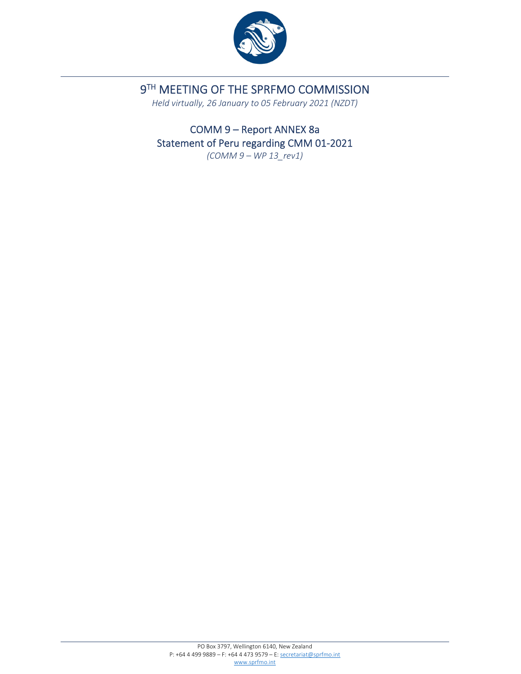

## 9TH MEETING OF THE SPRFMO COMMISSION

*Held virtually, 26 January to 05 February 2021 (NZDT)*

COMM 9 – Report ANNEX 8a Statement of Peru regarding CMM 01‐2021 *(COMM 9 – WP 13\_rev1)*